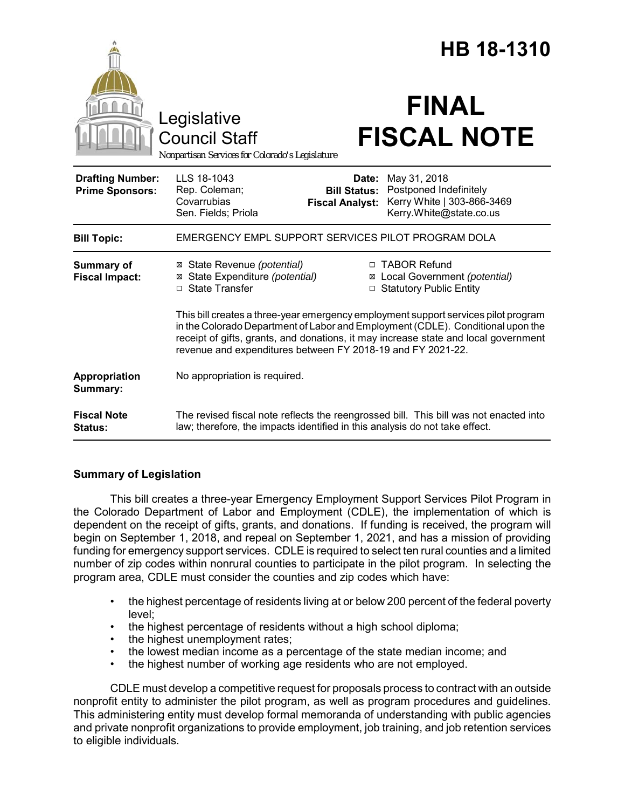|                                                   |                                                                                                                                                                                                                                                                                                                             |                                                        | HB 18-1310                                                                                      |  |
|---------------------------------------------------|-----------------------------------------------------------------------------------------------------------------------------------------------------------------------------------------------------------------------------------------------------------------------------------------------------------------------------|--------------------------------------------------------|-------------------------------------------------------------------------------------------------|--|
|                                                   | Legislative<br><b>Council Staff</b><br>Nonpartisan Services for Colorado's Legislature                                                                                                                                                                                                                                      |                                                        | <b>FINAL</b><br><b>FISCAL NOTE</b>                                                              |  |
| <b>Drafting Number:</b><br><b>Prime Sponsors:</b> | LLS 18-1043<br>Rep. Coleman;<br>Covarrubias<br>Sen. Fields; Priola                                                                                                                                                                                                                                                          | Date:<br><b>Bill Status:</b><br><b>Fiscal Analyst:</b> | May 31, 2018<br>Postponed Indefinitely<br>Kerry White   303-866-3469<br>Kerry.White@state.co.us |  |
| <b>Bill Topic:</b>                                | EMERGENCY EMPL SUPPORT SERVICES PILOT PROGRAM DOLA                                                                                                                                                                                                                                                                          |                                                        |                                                                                                 |  |
| <b>Summary of</b><br><b>Fiscal Impact:</b>        | ⊠ State Revenue (potential)<br>⊠ State Expenditure (potential)<br>□ State Transfer                                                                                                                                                                                                                                          |                                                        | □ TABOR Refund<br>⊠ Local Government (potential)<br>□ Statutory Public Entity                   |  |
|                                                   | This bill creates a three-year emergency employment support services pilot program<br>in the Colorado Department of Labor and Employment (CDLE). Conditional upon the<br>receipt of gifts, grants, and donations, it may increase state and local government<br>revenue and expenditures between FY 2018-19 and FY 2021-22. |                                                        |                                                                                                 |  |
| Appropriation<br>Summary:                         | No appropriation is required.                                                                                                                                                                                                                                                                                               |                                                        |                                                                                                 |  |
| <b>Fiscal Note</b><br><b>Status:</b>              | law; therefore, the impacts identified in this analysis do not take effect.                                                                                                                                                                                                                                                 |                                                        | The revised fiscal note reflects the reengrossed bill. This bill was not enacted into           |  |

# **Summary of Legislation**

This bill creates a three-year Emergency Employment Support Services Pilot Program in the Colorado Department of Labor and Employment (CDLE), the implementation of which is dependent on the receipt of gifts, grants, and donations. If funding is received, the program will begin on September 1, 2018, and repeal on September 1, 2021, and has a mission of providing funding for emergency support services. CDLE is required to select ten rural counties and a limited number of zip codes within nonrural counties to participate in the pilot program. In selecting the program area, CDLE must consider the counties and zip codes which have:

- the highest percentage of residents living at or below 200 percent of the federal poverty level;
- the highest percentage of residents without a high school diploma;
- the highest unemployment rates;
- the lowest median income as a percentage of the state median income; and
- the highest number of working age residents who are not employed.

CDLE must develop a competitive request for proposals process to contract with an outside nonprofit entity to administer the pilot program, as well as program procedures and guidelines. This administering entity must develop formal memoranda of understanding with public agencies and private nonprofit organizations to provide employment, job training, and job retention services to eligible individuals.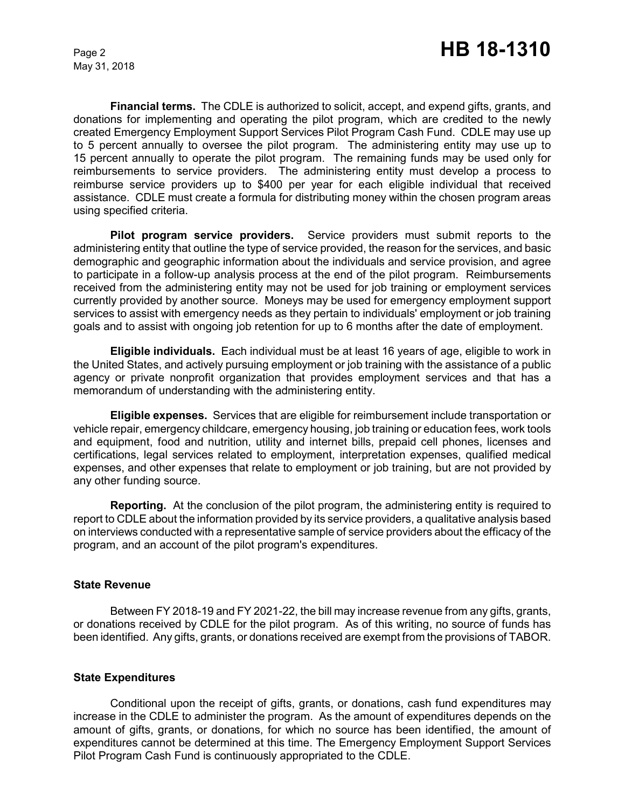May 31, 2018

**Financial terms.** The CDLE is authorized to solicit, accept, and expend gifts, grants, and donations for implementing and operating the pilot program, which are credited to the newly created Emergency Employment Support Services Pilot Program Cash Fund. CDLE may use up to 5 percent annually to oversee the pilot program. The administering entity may use up to 15 percent annually to operate the pilot program. The remaining funds may be used only for reimbursements to service providers. The administering entity must develop a process to reimburse service providers up to \$400 per year for each eligible individual that received assistance. CDLE must create a formula for distributing money within the chosen program areas using specified criteria.

**Pilot program service providers.** Service providers must submit reports to the administering entity that outline the type of service provided, the reason for the services, and basic demographic and geographic information about the individuals and service provision, and agree to participate in a follow-up analysis process at the end of the pilot program. Reimbursements received from the administering entity may not be used for job training or employment services currently provided by another source. Moneys may be used for emergency employment support services to assist with emergency needs as they pertain to individuals' employment or job training goals and to assist with ongoing job retention for up to 6 months after the date of employment.

**Eligible individuals.** Each individual must be at least 16 years of age, eligible to work in the United States, and actively pursuing employment or job training with the assistance of a public agency or private nonprofit organization that provides employment services and that has a memorandum of understanding with the administering entity.

**Eligible expenses.** Services that are eligible for reimbursement include transportation or vehicle repair, emergency childcare, emergency housing, job training or education fees, work tools and equipment, food and nutrition, utility and internet bills, prepaid cell phones, licenses and certifications, legal services related to employment, interpretation expenses, qualified medical expenses, and other expenses that relate to employment or job training, but are not provided by any other funding source.

**Reporting.** At the conclusion of the pilot program, the administering entity is required to report to CDLE about the information provided by its service providers, a qualitative analysis based on interviews conducted with a representative sample of service providers about the efficacy of the program, and an account of the pilot program's expenditures.

#### **State Revenue**

Between FY 2018-19 and FY 2021-22, the bill may increase revenue from any gifts, grants, or donations received by CDLE for the pilot program. As of this writing, no source of funds has been identified. Any gifts, grants, or donations received are exempt from the provisions of TABOR.

## **State Expenditures**

Conditional upon the receipt of gifts, grants, or donations, cash fund expenditures may increase in the CDLE to administer the program. As the amount of expenditures depends on the amount of gifts, grants, or donations, for which no source has been identified, the amount of expenditures cannot be determined at this time. The Emergency Employment Support Services Pilot Program Cash Fund is continuously appropriated to the CDLE.